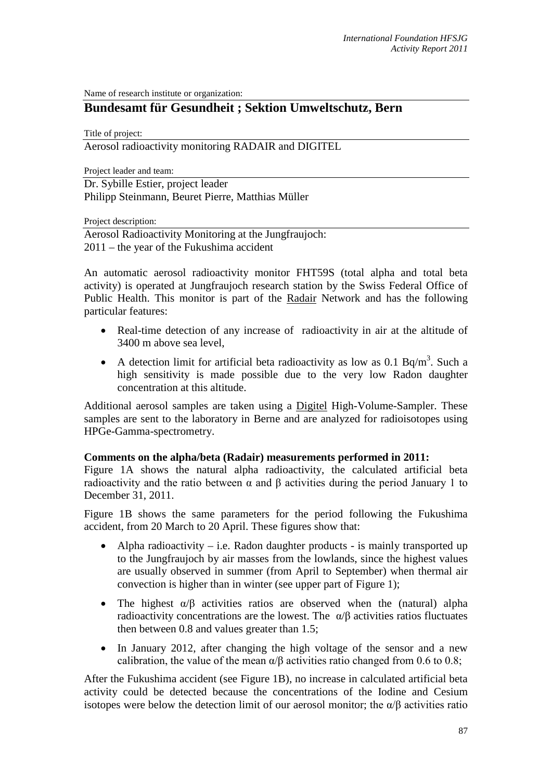Name of research institute or organization:

# **Bundesamt für Gesundheit ; Sektion Umweltschutz, Bern**

Title of project:

Aerosol radioactivity monitoring RADAIR and DIGITEL

Project leader and team:

Dr. Sybille Estier, project leader Philipp Steinmann, Beuret Pierre, Matthias Müller

Project description:

Aerosol Radioactivity Monitoring at the Jungfraujoch: 2011 – the year of the Fukushima accident

An automatic aerosol radioactivity monitor FHT59S (total alpha and total beta activity) is operated at Jungfraujoch research station by the Swiss Federal Office of Public Health. This monitor is part of the Radair Network and has the following particular features:

- Real-time detection of any increase of radioactivity in air at the altitude of 3400 m above sea level,
- A detection limit for artificial beta radioactivity as low as 0.1 Bq/m<sup>3</sup>. Such a high sensitivity is made possible due to the very low Radon daughter concentration at this altitude.

Additional aerosol samples are taken using a Digitel High-Volume-Sampler. These samples are sent to the laboratory in Berne and are analyzed for radioisotopes using HPGe-Gamma-spectrometry.

### **Comments on the alpha/beta (Radair) measurements performed in 2011:**

Figure 1A shows the natural alpha radioactivity, the calculated artificial beta radioactivity and the ratio between α and β activities during the period January 1 to December 31, 2011.

Figure 1B shows the same parameters for the period following the Fukushima accident, from 20 March to 20 April. These figures show that:

- Alpha radioactivity i.e. Radon daughter products is mainly transported up to the Jungfraujoch by air masses from the lowlands, since the highest values are usually observed in summer (from April to September) when thermal air convection is higher than in winter (see upper part of Figure 1);
- The highest  $\alpha/\beta$  activities ratios are observed when the (natural) alpha radioactivity concentrations are the lowest. The  $\alpha/\beta$  activities ratios fluctuates then between 0.8 and values greater than 1.5;
- In January 2012, after changing the high voltage of the sensor and a new calibration, the value of the mean  $\alpha/\beta$  activities ratio changed from 0.6 to 0.8;

After the Fukushima accident (see Figure 1B), no increase in calculated artificial beta activity could be detected because the concentrations of the Iodine and Cesium isotopes were below the detection limit of our aerosol monitor; the  $\alpha/\beta$  activities ratio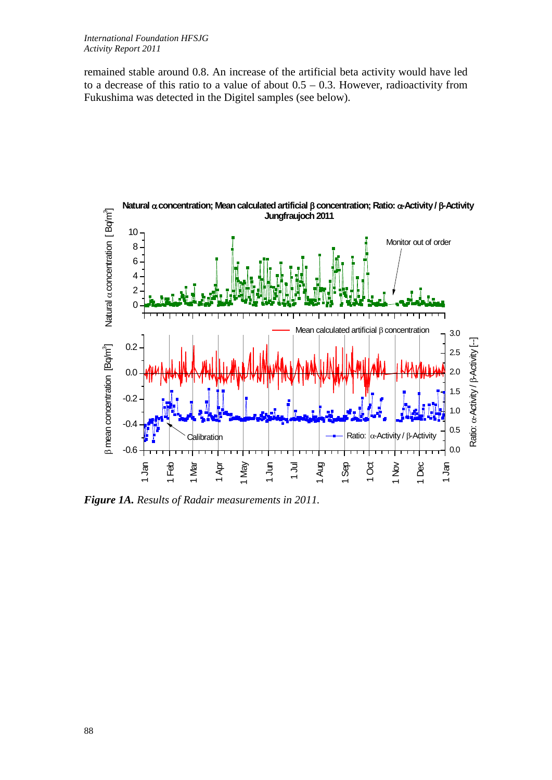remained stable around 0.8. An increase of the artificial beta activity would have led to a decrease of this ratio to a value of about  $0.5 - 0.3$ . However, radioactivity from Fukushima was detected in the Digitel samples (see below).



*Figure 1A. Results of Radair measurements in 2011.*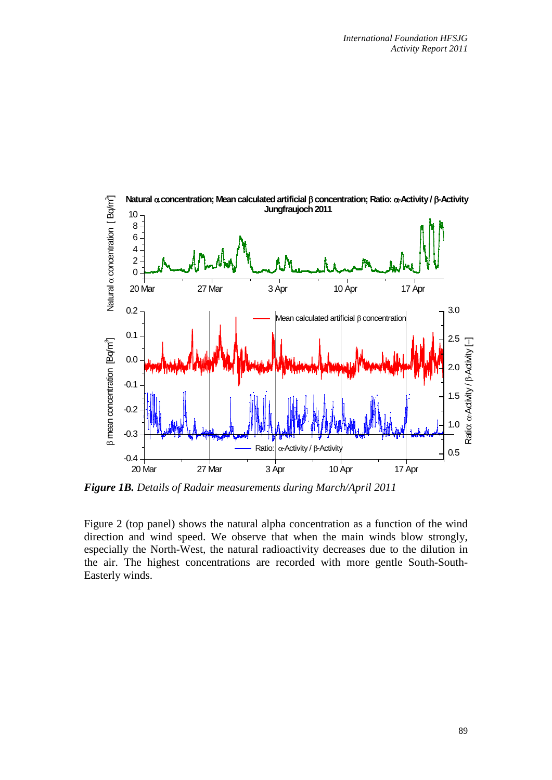

*Figure 1B. Details of Radair measurements during March/April 2011*

Figure 2 (top panel) shows the natural alpha concentration as a function of the wind direction and wind speed. We observe that when the main winds blow strongly, especially the North-West, the natural radioactivity decreases due to the dilution in the air. The highest concentrations are recorded with more gentle South-South-Easterly winds.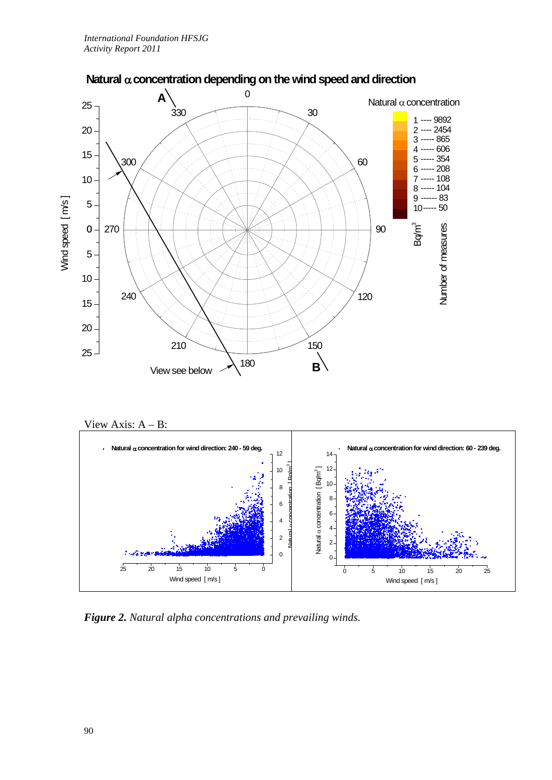

# **Natural** α **concentration depending on the wind speed and direction**





*Figure 2. Natural alpha concentrations and prevailing winds.*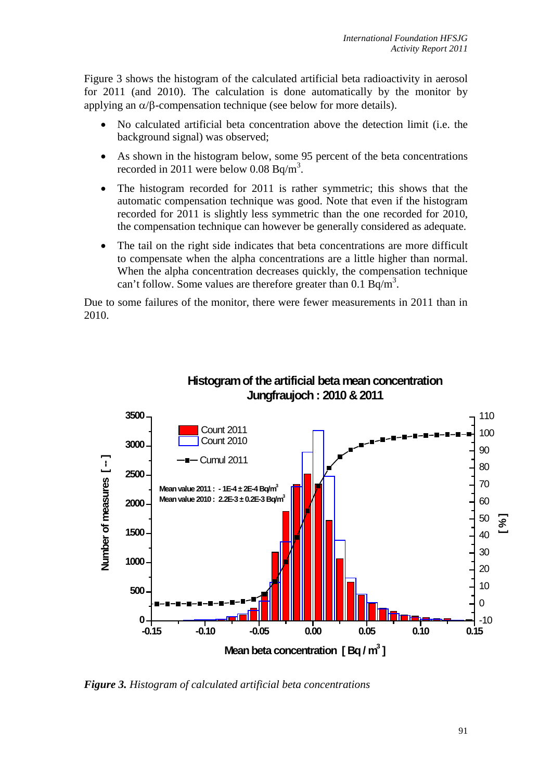Figure 3 shows the histogram of the calculated artificial beta radioactivity in aerosol for 2011 (and 2010). The calculation is done automatically by the monitor by applying an  $\alpha/\beta$ -compensation technique (see below for more details).

- No calculated artificial beta concentration above the detection limit (i.e. the background signal) was observed;
- As shown in the histogram below, some 95 percent of the beta concentrations recorded in 2011 were below  $0.08$  Bq/m<sup>3</sup>.
- The histogram recorded for 2011 is rather symmetric; this shows that the automatic compensation technique was good. Note that even if the histogram recorded for 2011 is slightly less symmetric than the one recorded for 2010, the compensation technique can however be generally considered as adequate.
- The tail on the right side indicates that beta concentrations are more difficult to compensate when the alpha concentrations are a little higher than normal. When the alpha concentration decreases quickly, the compensation technique can't follow. Some values are therefore greater than  $0.1 \text{ Bq/m}^3$ .

Due to some failures of the monitor, there were fewer measurements in 2011 than in 2010.



**Histogram of the artificial beta mean concentration Jungfraujoch : 2010 & 2011**

*Figure 3. Histogram of calculated artificial beta concentrations*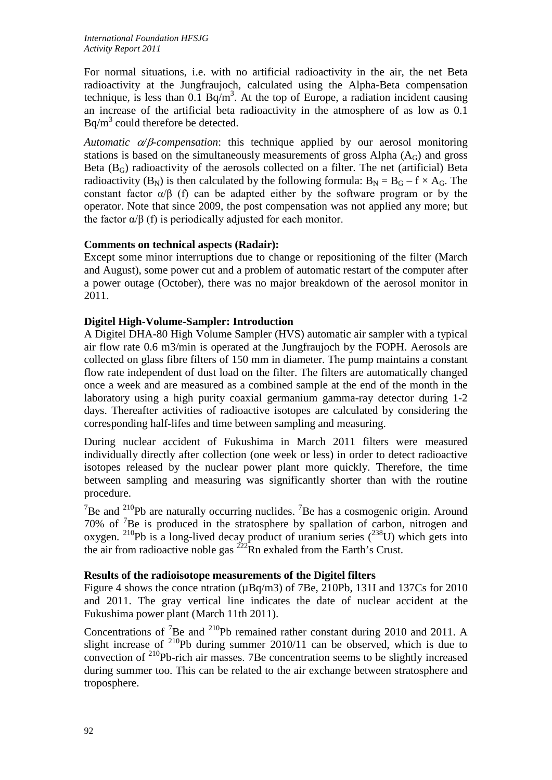For normal situations, i.e. with no artificial radioactivity in the air, the net Beta radioactivity at the Jungfraujoch, calculated using the Alpha-Beta compensation technique, is less than 0.1 Bq/m<sup>3</sup>. At the top of Europe, a radiation incident causing an increase of the artificial beta radioactivity in the atmosphere of as low as 0.1  $Bq/m<sup>3</sup>$  could therefore be detected.

*Automatic* α*/*β*-compensation*: this technique applied by our aerosol monitoring stations is based on the simultaneously measurements of gross Alpha  $(A<sub>G</sub>)$  and gross Beta  $(B_G)$  radioactivity of the aerosols collected on a filter. The net (artificial) Beta radioactivity (B<sub>N</sub>) is then calculated by the following formula:  $B_N = B_G - f \times A_G$ . The constant factor  $\alpha/\beta$  (f) can be adapted either by the software program or by the operator. Note that since 2009, the post compensation was not applied any more; but the factor  $\alpha/\beta$  (f) is periodically adjusted for each monitor.

### **Comments on technical aspects (Radair):**

Except some minor interruptions due to change or repositioning of the filter (March and August), some power cut and a problem of automatic restart of the computer after a power outage (October), there was no major breakdown of the aerosol monitor in 2011.

## **Digitel High-Volume-Sampler: Introduction**

A Digitel DHA-80 High Volume Sampler (HVS) automatic air sampler with a typical air flow rate 0.6 m3/min is operated at the Jungfraujoch by the FOPH. Aerosols are collected on glass fibre filters of 150 mm in diameter. The pump maintains a constant flow rate independent of dust load on the filter. The filters are automatically changed once a week and are measured as a combined sample at the end of the month in the laboratory using a high purity coaxial germanium gamma-ray detector during 1-2 days. Thereafter activities of radioactive isotopes are calculated by considering the corresponding half-lifes and time between sampling and measuring.

During nuclear accident of Fukushima in March 2011 filters were measured individually directly after collection (one week or less) in order to detect radioactive isotopes released by the nuclear power plant more quickly. Therefore, the time between sampling and measuring was significantly shorter than with the routine procedure.

<sup>7</sup>Be and <sup>210</sup>Pb are naturally occurring nuclides. <sup>7</sup>Be has a cosmogenic origin. Around 70% of <sup>7</sup> Be is produced in the stratosphere by spallation of carbon, nitrogen and oxygen. <sup>210</sup>Pb is a long-lived decay product of uranium series  $(^{238}U)$  which gets into the air from radioactive noble gas  $^{222}$ Rn exhaled from the Earth's Crust.

### **Results of the radioisotope measurements of the Digitel filters**

Figure 4 shows the conce ntration (µBq/m3) of 7Be, 210Pb, 131I and 137Cs for 2010 and 2011. The gray vertical line indicates the date of nuclear accident at the Fukushima power plant (March 11th 2011).

Concentrations of <sup>7</sup>Be and <sup>210</sup>Pb remained rather constant during 2010 and 2011. A slight increase of  $^{210}Pb$  during summer 2010/11 can be observed, which is due to convection of 210Pb-rich air masses. 7Be concentration seems to be slightly increased during summer too. This can be related to the air exchange between stratosphere and troposphere.